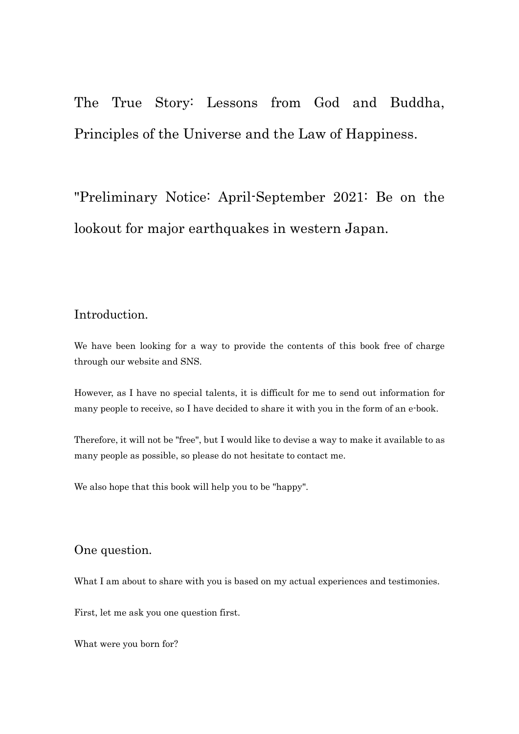The True Story: Lessons from God and Buddha, Principles of the Universe and the Law of Happiness.

"Preliminary Notice: April-September 2021: Be on the lookout for major earthquakes in western Japan.

## Introduction.

We have been looking for a way to provide the contents of this book free of charge through our website and SNS.

However, as I have no special talents, it is difficult for me to send out information for many people to receive, so I have decided to share it with you in the form of an e-book.

Therefore, it will not be "free", but I would like to devise a way to make it available to as many people as possible, so please do not hesitate to contact me.

We also hope that this book will help you to be "happy".

### One question.

What I am about to share with you is based on my actual experiences and testimonies.

First, let me ask you one question first.

What were you born for?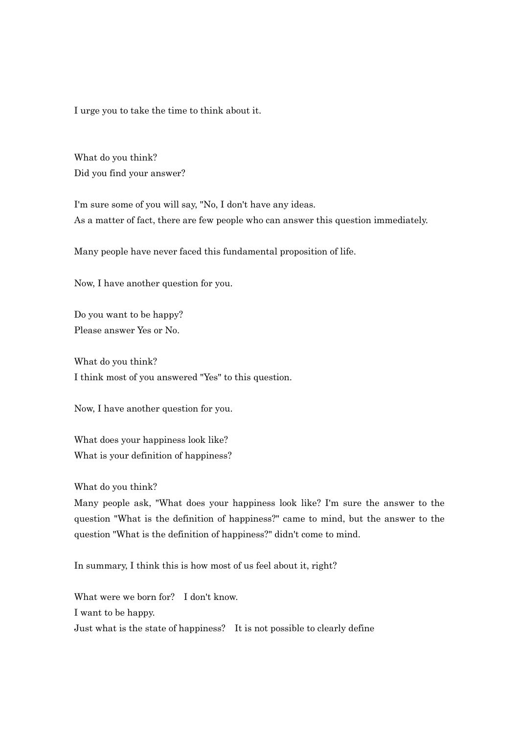I urge you to take the time to think about it.

What do you think? Did you find your answer?

I'm sure some of you will say, "No, I don't have any ideas. As a matter of fact, there are few people who can answer this question immediately.

Many people have never faced this fundamental proposition of life.

Now, I have another question for you.

Do you want to be happy? Please answer Yes or No.

What do you think? I think most of you answered "Yes" to this question.

Now, I have another question for you.

What does your happiness look like? What is your definition of happiness?

What do you think?

Many people ask, "What does your happiness look like? I'm sure the answer to the question "What is the definition of happiness?" came to mind, but the answer to the question "What is the definition of happiness?" didn't come to mind.

In summary, I think this is how most of us feel about it, right?

What were we born for? I don't know. I want to be happy. Just what is the state of happiness? It is not possible to clearly define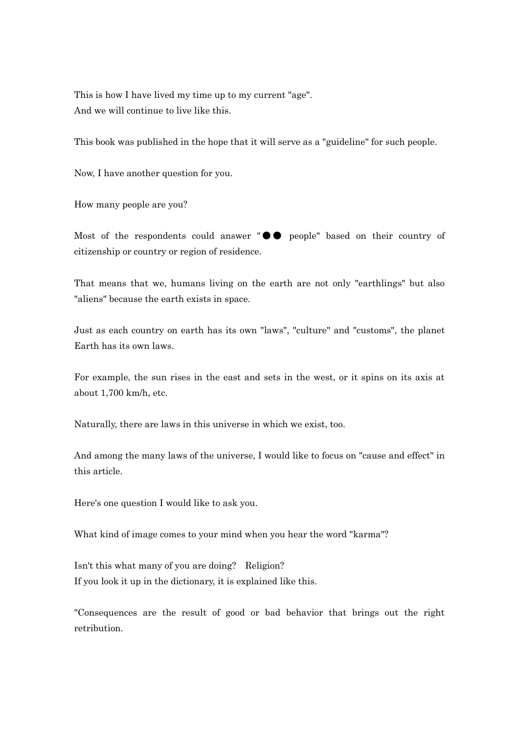This is how I have lived my time up to my current "age". And we will continue to live like this.

This book was published in the hope that it will serve as a "guideline" for such people.

Now, I have another question for you.

How many people are you?

Most of the respondents could answer "●● people" based on their country of citizenship or country or region of residence.

That means that we, humans living on the earth are not only "earthlings" but also "aliens" because the earth exists in space.

Just as each country on earth has its own "laws", "culture" and "customs", the planet Earth has its own laws.

For example, the sun rises in the east and sets in the west, or it spins on its axis at about 1,700 km/h, etc.

Naturally, there are laws in this universe in which we exist, too.

And among the many laws of the universe, I would like to focus on "cause and effect" in this article.

Here's one question I would like to ask you.

What kind of image comes to your mind when you hear the word "karma"?

Isn't this what many of you are doing? Religion? If you look it up in the dictionary, it is explained like this.

"Consequences are the result of good or bad behavior that brings out the right retribution.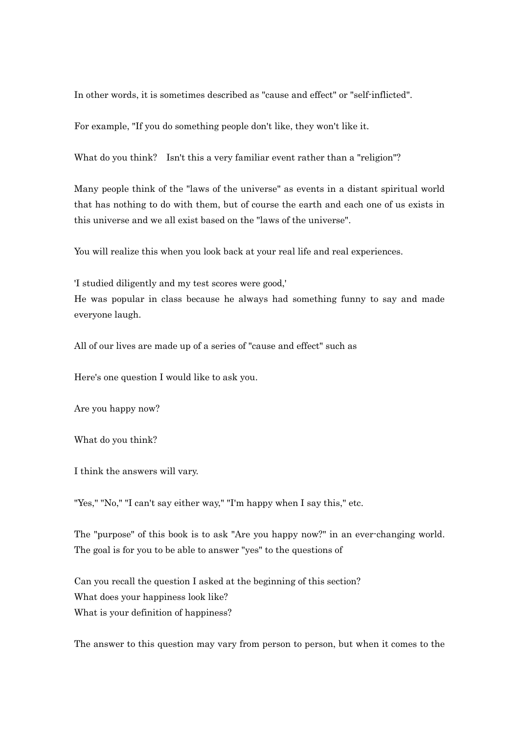In other words, it is sometimes described as "cause and effect" or "self-inflicted".

For example, "If you do something people don't like, they won't like it.

What do you think? Isn't this a very familiar event rather than a "religion"?

Many people think of the "laws of the universe" as events in a distant spiritual world that has nothing to do with them, but of course the earth and each one of us exists in this universe and we all exist based on the "laws of the universe".

You will realize this when you look back at your real life and real experiences.

'I studied diligently and my test scores were good,'

He was popular in class because he always had something funny to say and made everyone laugh.

All of our lives are made up of a series of "cause and effect" such as

Here's one question I would like to ask you.

Are you happy now?

What do you think?

I think the answers will vary.

"Yes," "No," "I can't say either way," "I'm happy when I say this," etc.

The "purpose" of this book is to ask "Are you happy now?" in an ever-changing world. The goal is for you to be able to answer "yes" to the questions of

Can you recall the question I asked at the beginning of this section? What does your happiness look like? What is your definition of happiness?

The answer to this question may vary from person to person, but when it comes to the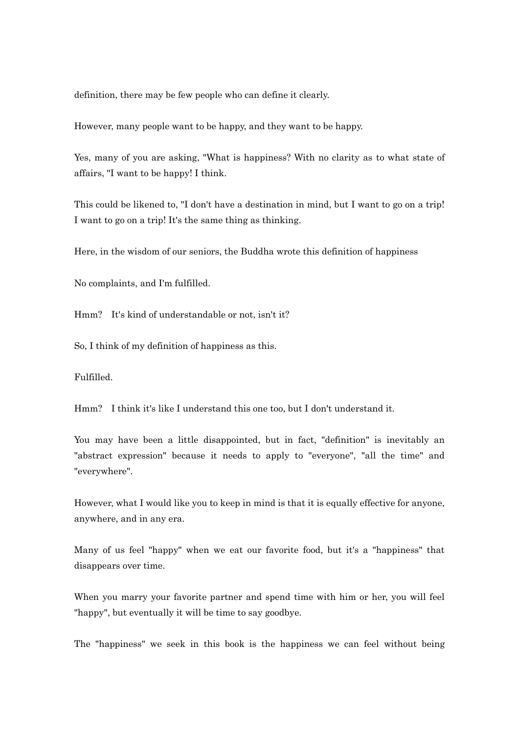definition, there may be few people who can define it clearly.

However, many people want to be happy, and they want to be happy.

Yes, many of you are asking, "What is happiness? With no clarity as to what state of affairs, "I want to be happy! I think.

This could be likened to, "I don't have a destination in mind, but I want to go on a trip! I want to go on a trip! It's the same thing as thinking.

Here, in the wisdom of our seniors, the Buddha wrote this definition of happiness

No complaints, and I'm fulfilled.

Hmm? It's kind of understandable or not, isn't it?

So, I think of my definition of happiness as this.

Fulfilled.

Hmm? I think it's like I understand this one too, but I don't understand it.

You may have been a little disappointed, but in fact, "definition" is inevitably an "abstract expression" because it needs to apply to "everyone", "all the time" and "everywhere".

However, what I would like you to keep in mind is that it is equally effective for anyone, anywhere, and in any era.

Many of us feel "happy" when we eat our favorite food, but it's a "happiness" that disappears over time.

When you marry your favorite partner and spend time with him or her, you will feel "happy", but eventually it will be time to say goodbye.

The "happiness" we seek in this book is the happiness we can feel without being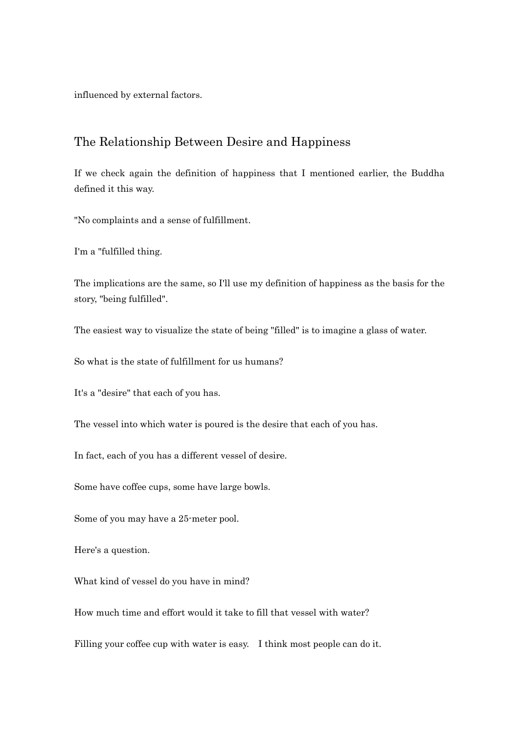influenced by external factors.

### The Relationship Between Desire and Happiness

If we check again the definition of happiness that I mentioned earlier, the Buddha defined it this way.

"No complaints and a sense of fulfillment.

I'm a "fulfilled thing.

The implications are the same, so I'll use my definition of happiness as the basis for the story, "being fulfilled".

The easiest way to visualize the state of being "filled" is to imagine a glass of water.

So what is the state of fulfillment for us humans?

It's a "desire" that each of you has.

The vessel into which water is poured is the desire that each of you has.

In fact, each of you has a different vessel of desire.

Some have coffee cups, some have large bowls.

Some of you may have a 25-meter pool.

Here's a question.

What kind of vessel do you have in mind?

How much time and effort would it take to fill that vessel with water?

Filling your coffee cup with water is easy. I think most people can do it.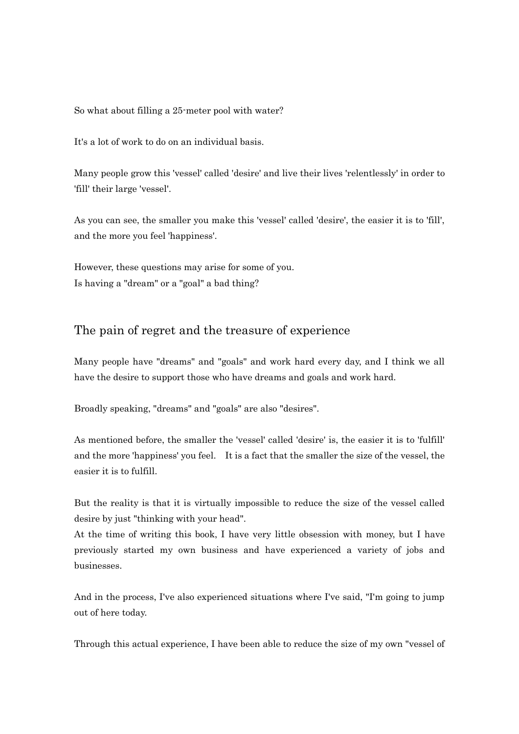So what about filling a 25-meter pool with water?

It's a lot of work to do on an individual basis.

Many people grow this 'vessel' called 'desire' and live their lives 'relentlessly' in order to 'fill' their large 'vessel'.

As you can see, the smaller you make this 'vessel' called 'desire', the easier it is to 'fill', and the more you feel 'happiness'.

However, these questions may arise for some of you. Is having a "dream" or a "goal" a bad thing?

## The pain of regret and the treasure of experience

Many people have "dreams" and "goals" and work hard every day, and I think we all have the desire to support those who have dreams and goals and work hard.

Broadly speaking, "dreams" and "goals" are also "desires".

As mentioned before, the smaller the 'vessel' called 'desire' is, the easier it is to 'fulfill' and the more 'happiness' you feel. It is a fact that the smaller the size of the vessel, the easier it is to fulfill.

But the reality is that it is virtually impossible to reduce the size of the vessel called desire by just "thinking with your head".

At the time of writing this book, I have very little obsession with money, but I have previously started my own business and have experienced a variety of jobs and businesses.

And in the process, I've also experienced situations where I've said, "I'm going to jump out of here today.

Through this actual experience, I have been able to reduce the size of my own "vessel of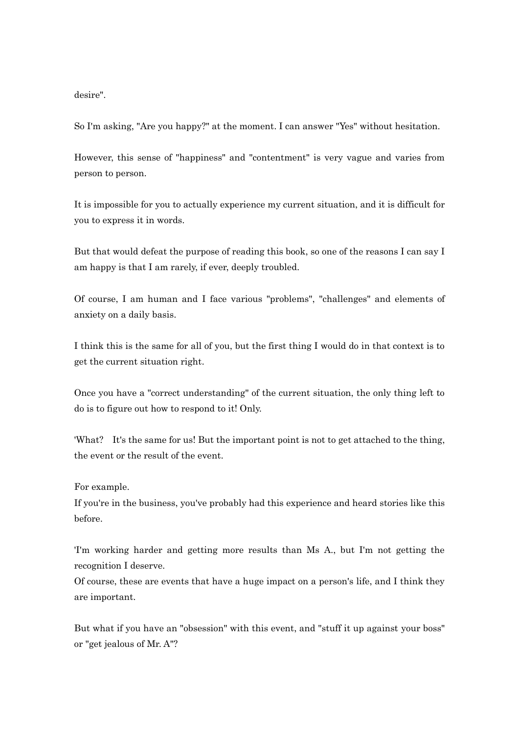desire".

So I'm asking, "Are you happy?" at the moment. I can answer "Yes" without hesitation.

However, this sense of "happiness" and "contentment" is very vague and varies from person to person.

It is impossible for you to actually experience my current situation, and it is difficult for you to express it in words.

But that would defeat the purpose of reading this book, so one of the reasons I can say I am happy is that I am rarely, if ever, deeply troubled.

Of course, I am human and I face various "problems", "challenges" and elements of anxiety on a daily basis.

I think this is the same for all of you, but the first thing I would do in that context is to get the current situation right.

Once you have a "correct understanding" of the current situation, the only thing left to do is to figure out how to respond to it! Only.

'What? It's the same for us! But the important point is not to get attached to the thing, the event or the result of the event.

#### For example.

If you're in the business, you've probably had this experience and heard stories like this before.

'I'm working harder and getting more results than Ms A., but I'm not getting the recognition I deserve.

Of course, these are events that have a huge impact on a person's life, and I think they are important.

But what if you have an "obsession" with this event, and "stuff it up against your boss" or "get jealous of Mr. A"?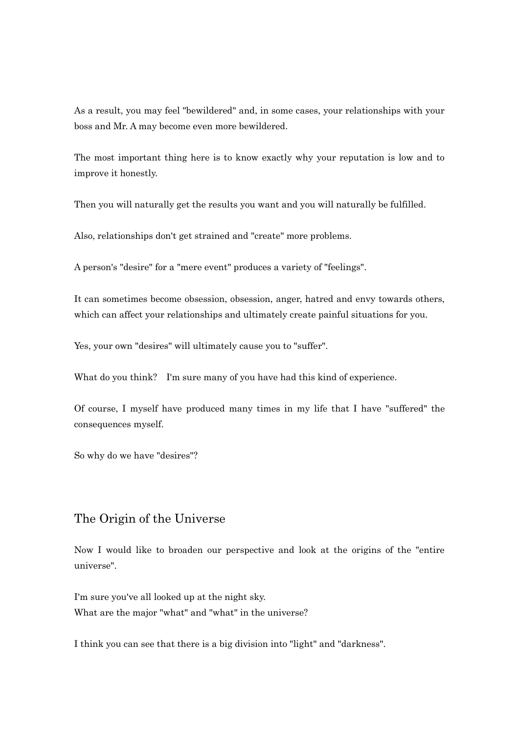As a result, you may feel "bewildered" and, in some cases, your relationships with your boss and Mr. A may become even more bewildered.

The most important thing here is to know exactly why your reputation is low and to improve it honestly.

Then you will naturally get the results you want and you will naturally be fulfilled.

Also, relationships don't get strained and "create" more problems.

A person's "desire" for a "mere event" produces a variety of "feelings".

It can sometimes become obsession, obsession, anger, hatred and envy towards others, which can affect your relationships and ultimately create painful situations for you.

Yes, your own "desires" will ultimately cause you to "suffer".

What do you think? I'm sure many of you have had this kind of experience.

Of course, I myself have produced many times in my life that I have "suffered" the consequences myself.

So why do we have "desires"?

### The Origin of the Universe

Now I would like to broaden our perspective and look at the origins of the "entire universe".

I'm sure you've all looked up at the night sky. What are the major "what" and "what" in the universe?

I think you can see that there is a big division into "light" and "darkness".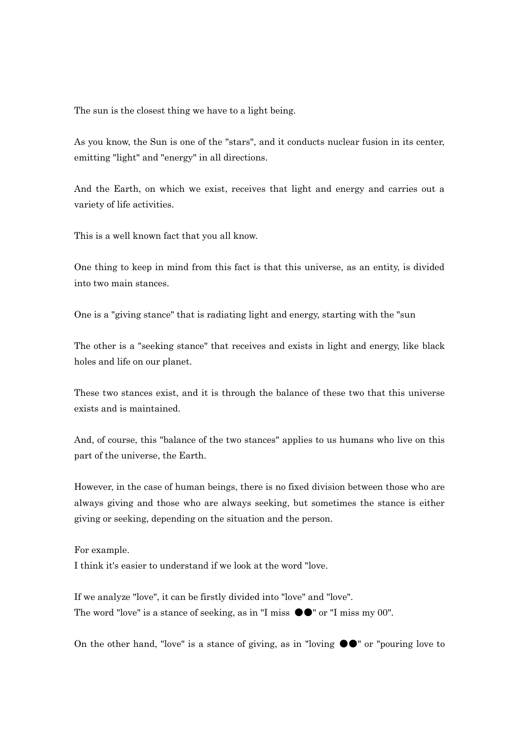The sun is the closest thing we have to a light being.

As you know, the Sun is one of the "stars", and it conducts nuclear fusion in its center, emitting "light" and "energy" in all directions.

And the Earth, on which we exist, receives that light and energy and carries out a variety of life activities.

This is a well known fact that you all know.

One thing to keep in mind from this fact is that this universe, as an entity, is divided into two main stances.

One is a "giving stance" that is radiating light and energy, starting with the "sun

The other is a "seeking stance" that receives and exists in light and energy, like black holes and life on our planet.

These two stances exist, and it is through the balance of these two that this universe exists and is maintained.

And, of course, this "balance of the two stances" applies to us humans who live on this part of the universe, the Earth.

However, in the case of human beings, there is no fixed division between those who are always giving and those who are always seeking, but sometimes the stance is either giving or seeking, depending on the situation and the person.

For example. I think it's easier to understand if we look at the word "love.

If we analyze "love", it can be firstly divided into "love" and "love". The word "love" is a stance of seeking, as in "I miss  $\bullet \bullet$ " or "I miss my 00".

On the other hand, "love" is a stance of giving, as in "loving  $\bullet\bullet$ " or "pouring love to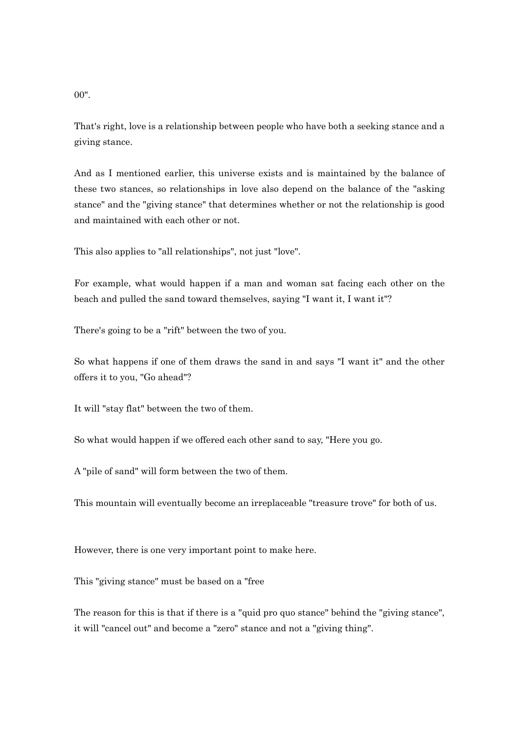00".

That's right, love is a relationship between people who have both a seeking stance and a giving stance.

And as I mentioned earlier, this universe exists and is maintained by the balance of these two stances, so relationships in love also depend on the balance of the "asking stance" and the "giving stance" that determines whether or not the relationship is good and maintained with each other or not.

This also applies to "all relationships", not just "love".

For example, what would happen if a man and woman sat facing each other on the beach and pulled the sand toward themselves, saying "I want it, I want it"?

There's going to be a "rift" between the two of you.

So what happens if one of them draws the sand in and says "I want it" and the other offers it to you, "Go ahead"?

It will "stay flat" between the two of them.

So what would happen if we offered each other sand to say, "Here you go.

A "pile of sand" will form between the two of them.

This mountain will eventually become an irreplaceable "treasure trove" for both of us.

However, there is one very important point to make here.

This "giving stance" must be based on a "free

The reason for this is that if there is a "quid pro quo stance" behind the "giving stance", it will "cancel out" and become a "zero" stance and not a "giving thing".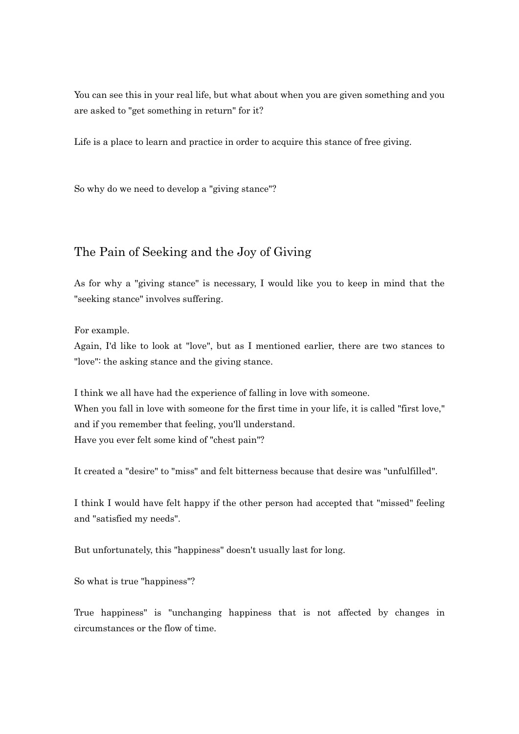You can see this in your real life, but what about when you are given something and you are asked to "get something in return" for it?

Life is a place to learn and practice in order to acquire this stance of free giving.

So why do we need to develop a "giving stance"?

## The Pain of Seeking and the Joy of Giving

As for why a "giving stance" is necessary, I would like you to keep in mind that the "seeking stance" involves suffering.

For example.

Again, I'd like to look at "love", but as I mentioned earlier, there are two stances to "love": the asking stance and the giving stance.

I think we all have had the experience of falling in love with someone. When you fall in love with someone for the first time in your life, it is called "first love," and if you remember that feeling, you'll understand. Have you ever felt some kind of "chest pain"?

It created a "desire" to "miss" and felt bitterness because that desire was "unfulfilled".

I think I would have felt happy if the other person had accepted that "missed" feeling and "satisfied my needs".

But unfortunately, this "happiness" doesn't usually last for long.

So what is true "happiness"?

True happiness" is "unchanging happiness that is not affected by changes in circumstances or the flow of time.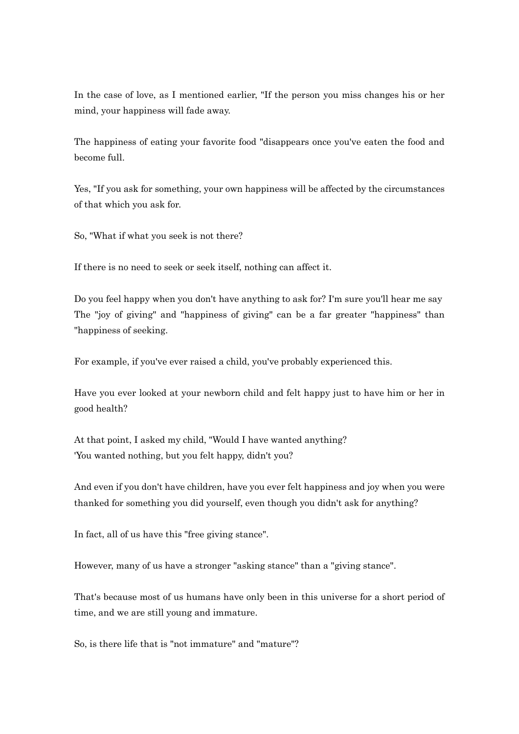In the case of love, as I mentioned earlier, "If the person you miss changes his or her mind, your happiness will fade away.

The happiness of eating your favorite food "disappears once you've eaten the food and become full.

Yes, "If you ask for something, your own happiness will be affected by the circumstances of that which you ask for.

So, "What if what you seek is not there?

If there is no need to seek or seek itself, nothing can affect it.

Do you feel happy when you don't have anything to ask for? I'm sure you'll hear me say The "joy of giving" and "happiness of giving" can be a far greater "happiness" than "happiness of seeking.

For example, if you've ever raised a child, you've probably experienced this.

Have you ever looked at your newborn child and felt happy just to have him or her in good health?

At that point, I asked my child, "Would I have wanted anything? 'You wanted nothing, but you felt happy, didn't you?

And even if you don't have children, have you ever felt happiness and joy when you were thanked for something you did yourself, even though you didn't ask for anything?

In fact, all of us have this "free giving stance".

However, many of us have a stronger "asking stance" than a "giving stance".

That's because most of us humans have only been in this universe for a short period of time, and we are still young and immature.

So, is there life that is "not immature" and "mature"?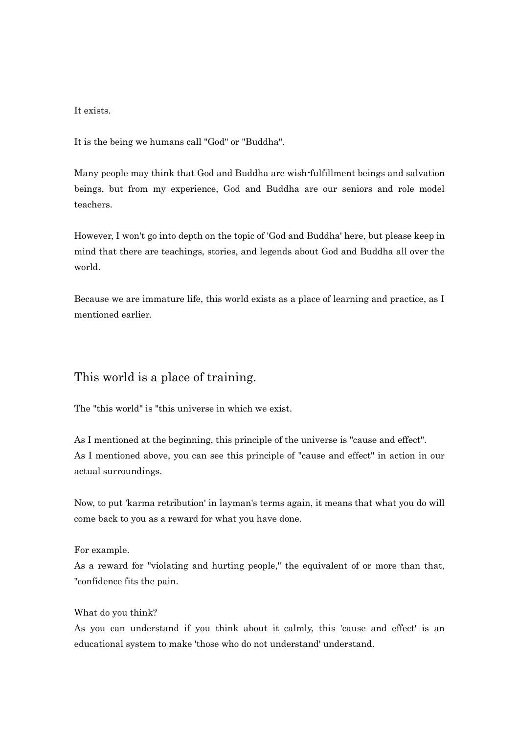#### It exists.

It is the being we humans call "God" or "Buddha".

Many people may think that God and Buddha are wish-fulfillment beings and salvation beings, but from my experience, God and Buddha are our seniors and role model teachers.

However, I won't go into depth on the topic of 'God and Buddha' here, but please keep in mind that there are teachings, stories, and legends about God and Buddha all over the world.

Because we are immature life, this world exists as a place of learning and practice, as I mentioned earlier.

### This world is a place of training.

The "this world" is "this universe in which we exist.

As I mentioned at the beginning, this principle of the universe is "cause and effect". As I mentioned above, you can see this principle of "cause and effect" in action in our actual surroundings.

Now, to put 'karma retribution' in layman's terms again, it means that what you do will come back to you as a reward for what you have done.

For example.

As a reward for "violating and hurting people," the equivalent of or more than that, "confidence fits the pain.

#### What do you think?

As you can understand if you think about it calmly, this 'cause and effect' is an educational system to make 'those who do not understand' understand.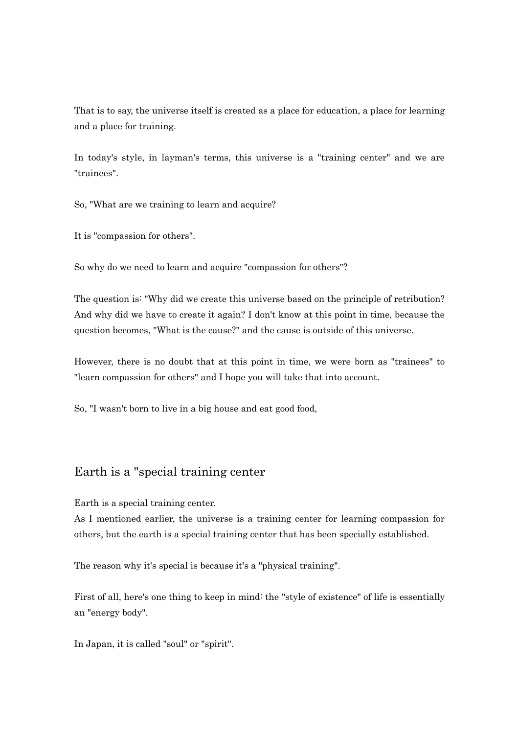That is to say, the universe itself is created as a place for education, a place for learning and a place for training.

In today's style, in layman's terms, this universe is a "training center" and we are "trainees".

So, "What are we training to learn and acquire?

It is "compassion for others".

So why do we need to learn and acquire "compassion for others"?

The question is: "Why did we create this universe based on the principle of retribution? And why did we have to create it again? I don't know at this point in time, because the question becomes, "What is the cause?" and the cause is outside of this universe.

However, there is no doubt that at this point in time, we were born as "trainees" to "learn compassion for others" and I hope you will take that into account.

So, "I wasn't born to live in a big house and eat good food,

## Earth is a "special training center

Earth is a special training center.

As I mentioned earlier, the universe is a training center for learning compassion for others, but the earth is a special training center that has been specially established.

The reason why it's special is because it's a "physical training".

First of all, here's one thing to keep in mind: the "style of existence" of life is essentially an "energy body".

In Japan, it is called "soul" or "spirit".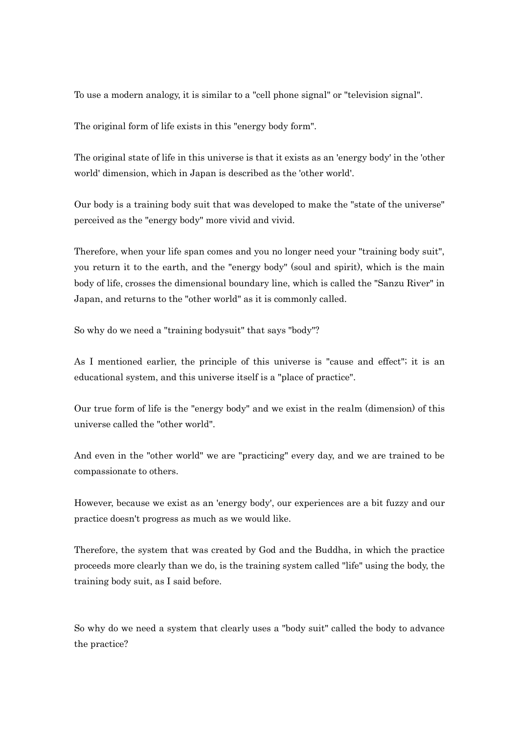To use a modern analogy, it is similar to a "cell phone signal" or "television signal".

The original form of life exists in this "energy body form".

The original state of life in this universe is that it exists as an 'energy body' in the 'other world' dimension, which in Japan is described as the 'other world'.

Our body is a training body suit that was developed to make the "state of the universe" perceived as the "energy body" more vivid and vivid.

Therefore, when your life span comes and you no longer need your "training body suit", you return it to the earth, and the "energy body" (soul and spirit), which is the main body of life, crosses the dimensional boundary line, which is called the "Sanzu River" in Japan, and returns to the "other world" as it is commonly called.

So why do we need a "training bodysuit" that says "body"?

As I mentioned earlier, the principle of this universe is "cause and effect"; it is an educational system, and this universe itself is a "place of practice".

Our true form of life is the "energy body" and we exist in the realm (dimension) of this universe called the "other world".

And even in the "other world" we are "practicing" every day, and we are trained to be compassionate to others.

However, because we exist as an 'energy body', our experiences are a bit fuzzy and our practice doesn't progress as much as we would like.

Therefore, the system that was created by God and the Buddha, in which the practice proceeds more clearly than we do, is the training system called "life" using the body, the training body suit, as I said before.

So why do we need a system that clearly uses a "body suit" called the body to advance the practice?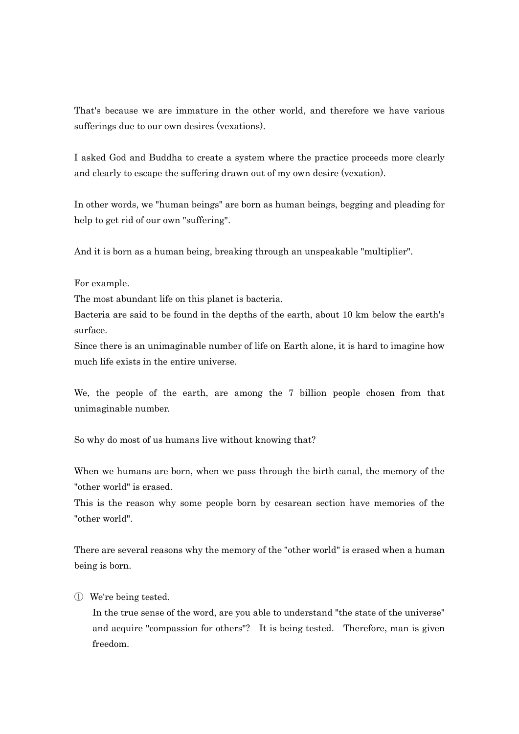That's because we are immature in the other world, and therefore we have various sufferings due to our own desires (vexations).

I asked God and Buddha to create a system where the practice proceeds more clearly and clearly to escape the suffering drawn out of my own desire (vexation).

In other words, we "human beings" are born as human beings, begging and pleading for help to get rid of our own "suffering".

And it is born as a human being, breaking through an unspeakable "multiplier".

For example.

The most abundant life on this planet is bacteria.

Bacteria are said to be found in the depths of the earth, about 10 km below the earth's surface.

Since there is an unimaginable number of life on Earth alone, it is hard to imagine how much life exists in the entire universe.

We, the people of the earth, are among the 7 billion people chosen from that unimaginable number.

So why do most of us humans live without knowing that?

When we humans are born, when we pass through the birth canal, the memory of the "other world" is erased.

This is the reason why some people born by cesarean section have memories of the "other world".

There are several reasons why the memory of the "other world" is erased when a human being is born.

#### ① We're being tested.

In the true sense of the word, are you able to understand "the state of the universe" and acquire "compassion for others"? It is being tested. Therefore, man is given freedom.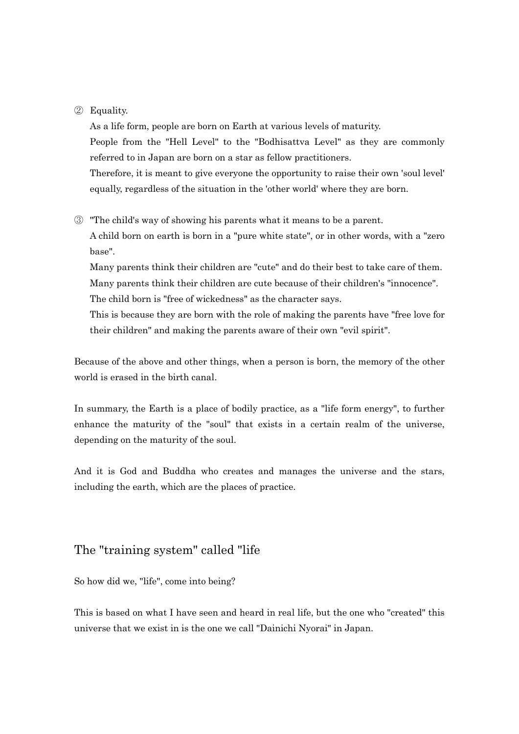#### ② Equality.

As a life form, people are born on Earth at various levels of maturity. People from the "Hell Level" to the "Bodhisattva Level" as they are commonly referred to in Japan are born on a star as fellow practitioners. Therefore, it is meant to give everyone the opportunity to raise their own 'soul level' equally, regardless of the situation in the 'other world' where they are born.

③ "The child's way of showing his parents what it means to be a parent. A child born on earth is born in a "pure white state", or in other words, with a "zero base".

Many parents think their children are "cute" and do their best to take care of them. Many parents think their children are cute because of their children's "innocence". The child born is "free of wickedness" as the character says.

This is because they are born with the role of making the parents have "free love for their children" and making the parents aware of their own "evil spirit".

Because of the above and other things, when a person is born, the memory of the other world is erased in the birth canal.

In summary, the Earth is a place of bodily practice, as a "life form energy", to further enhance the maturity of the "soul" that exists in a certain realm of the universe, depending on the maturity of the soul.

And it is God and Buddha who creates and manages the universe and the stars, including the earth, which are the places of practice.

## The "training system" called "life

So how did we, "life", come into being?

This is based on what I have seen and heard in real life, but the one who "created" this universe that we exist in is the one we call "Dainichi Nyorai" in Japan.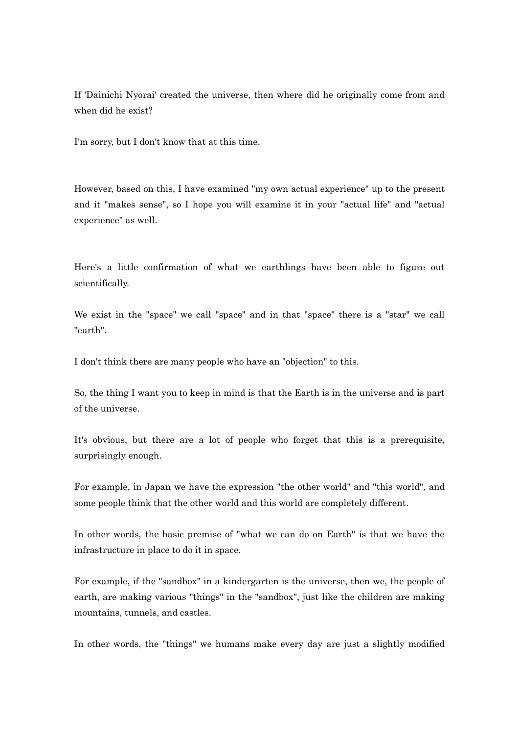If 'Dainichi Nyorai' created the universe, then where did he originally come from and when did he exist?

I'm sorry, but I don't know that at this time.

However, based on this, I have examined "my own actual experience" up to the present and it "makes sense", so I hope you will examine it in your "actual life" and "actual experience" as well.

Here's a little confirmation of what we earthlings have been able to figure out scientifically.

We exist in the "space" we call "space" and in that "space" there is a "star" we call "earth".

I don't think there are many people who have an "objection" to this.

So, the thing I want you to keep in mind is that the Earth is in the universe and is part of the universe.

It's obvious, but there are a lot of people who forget that this is a prerequisite, surprisingly enough.

For example, in Japan we have the expression "the other world" and "this world", and some people think that the other world and this world are completely different.

In other words, the basic premise of "what we can do on Earth" is that we have the infrastructure in place to do it in space.

For example, if the "sandbox" in a kindergarten is the universe, then we, the people of earth, are making various "things" in the "sandbox", just like the children are making mountains, tunnels, and castles.

In other words, the "things" we humans make every day are just a slightly modified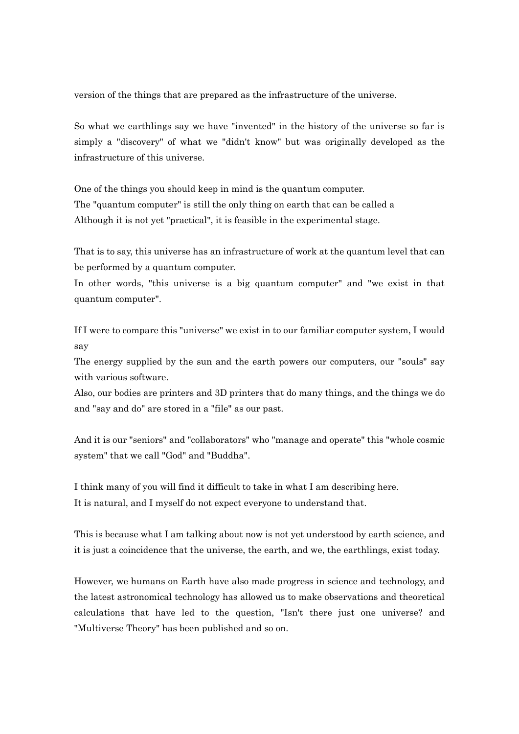version of the things that are prepared as the infrastructure of the universe.

So what we earthlings say we have "invented" in the history of the universe so far is simply a "discovery" of what we "didn't know" but was originally developed as the infrastructure of this universe.

One of the things you should keep in mind is the quantum computer. The "quantum computer" is still the only thing on earth that can be called a Although it is not yet "practical", it is feasible in the experimental stage.

That is to say, this universe has an infrastructure of work at the quantum level that can be performed by a quantum computer.

In other words, "this universe is a big quantum computer" and "we exist in that quantum computer".

If I were to compare this "universe" we exist in to our familiar computer system, I would say

The energy supplied by the sun and the earth powers our computers, our "souls" say with various software.

Also, our bodies are printers and 3D printers that do many things, and the things we do and "say and do" are stored in a "file" as our past.

And it is our "seniors" and "collaborators" who "manage and operate" this "whole cosmic system" that we call "God" and "Buddha".

I think many of you will find it difficult to take in what I am describing here. It is natural, and I myself do not expect everyone to understand that.

This is because what I am talking about now is not yet understood by earth science, and it is just a coincidence that the universe, the earth, and we, the earthlings, exist today.

However, we humans on Earth have also made progress in science and technology, and the latest astronomical technology has allowed us to make observations and theoretical calculations that have led to the question, "Isn't there just one universe? and "Multiverse Theory" has been published and so on.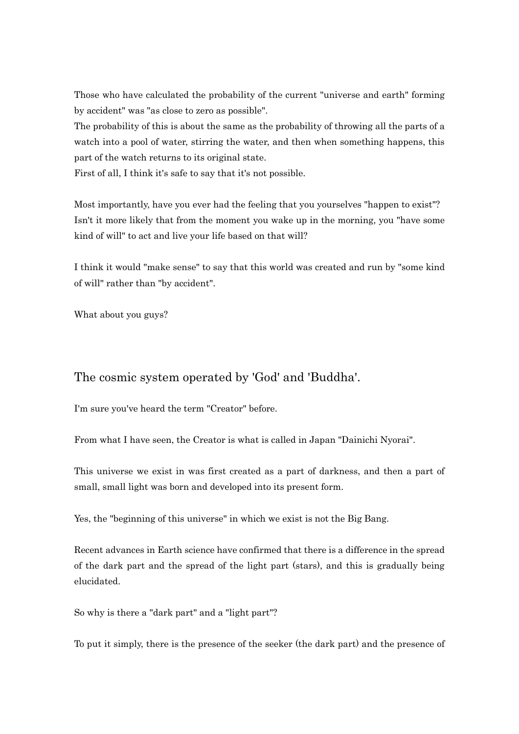Those who have calculated the probability of the current "universe and earth" forming by accident" was "as close to zero as possible".

The probability of this is about the same as the probability of throwing all the parts of a watch into a pool of water, stirring the water, and then when something happens, this part of the watch returns to its original state.

First of all, I think it's safe to say that it's not possible.

Most importantly, have you ever had the feeling that you yourselves "happen to exist"? Isn't it more likely that from the moment you wake up in the morning, you "have some kind of will" to act and live your life based on that will?

I think it would "make sense" to say that this world was created and run by "some kind of will" rather than "by accident".

What about you guys?

## The cosmic system operated by 'God' and 'Buddha'.

I'm sure you've heard the term "Creator" before.

From what I have seen, the Creator is what is called in Japan "Dainichi Nyorai".

This universe we exist in was first created as a part of darkness, and then a part of small, small light was born and developed into its present form.

Yes, the "beginning of this universe" in which we exist is not the Big Bang.

Recent advances in Earth science have confirmed that there is a difference in the spread of the dark part and the spread of the light part (stars), and this is gradually being elucidated.

So why is there a "dark part" and a "light part"?

To put it simply, there is the presence of the seeker (the dark part) and the presence of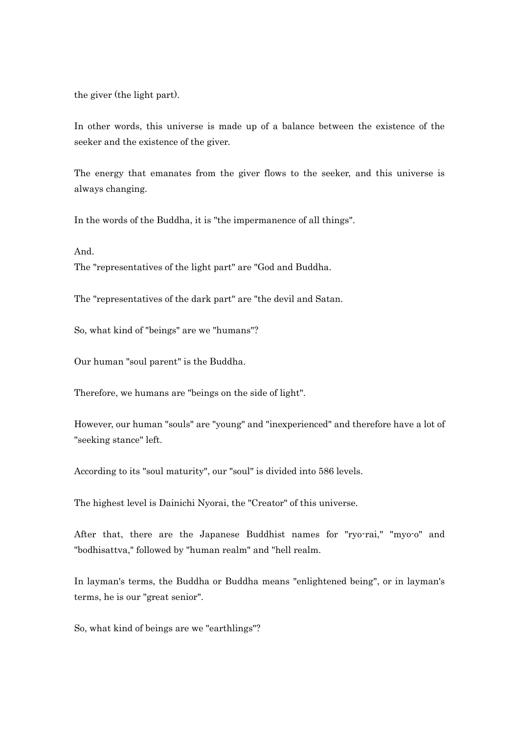the giver (the light part).

In other words, this universe is made up of a balance between the existence of the seeker and the existence of the giver.

The energy that emanates from the giver flows to the seeker, and this universe is always changing.

In the words of the Buddha, it is "the impermanence of all things".

And.

The "representatives of the light part" are "God and Buddha.

The "representatives of the dark part" are "the devil and Satan.

So, what kind of "beings" are we "humans"?

Our human "soul parent" is the Buddha.

Therefore, we humans are "beings on the side of light".

However, our human "souls" are "young" and "inexperienced" and therefore have a lot of "seeking stance" left.

According to its "soul maturity", our "soul" is divided into 586 levels.

The highest level is Dainichi Nyorai, the "Creator" of this universe.

After that, there are the Japanese Buddhist names for "ryo-rai," "myo-o" and "bodhisattva," followed by "human realm" and "hell realm.

In layman's terms, the Buddha or Buddha means "enlightened being", or in layman's terms, he is our "great senior".

So, what kind of beings are we "earthlings"?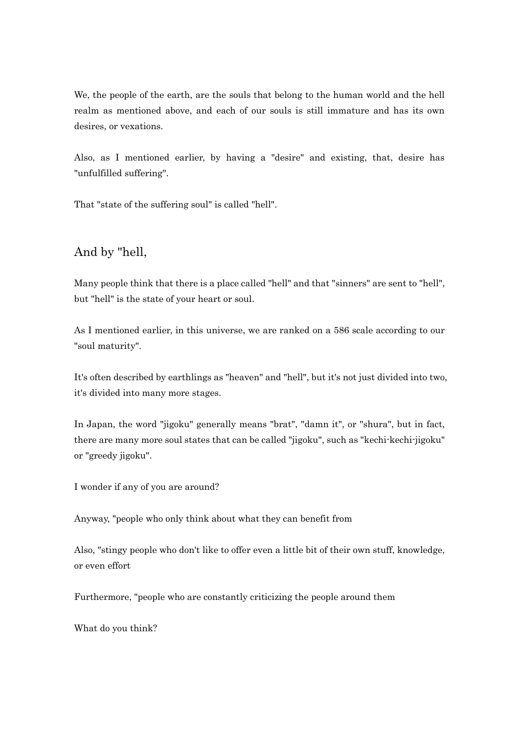We, the people of the earth, are the souls that belong to the human world and the hell realm as mentioned above, and each of our souls is still immature and has its own desires, or vexations.

Also, as I mentioned earlier, by having a "desire" and existing, that, desire has "unfulfilled suffering".

That "state of the suffering soul" is called "hell".

And by "hell,

Many people think that there is a place called "hell" and that "sinners" are sent to "hell", but "hell" is the state of your heart or soul.

As I mentioned earlier, in this universe, we are ranked on a 586 scale according to our "soul maturity".

It's often described by earthlings as "heaven" and "hell", but it's not just divided into two, it's divided into many more stages.

In Japan, the word "jigoku" generally means "brat", "damn it", or "shura", but in fact, there are many more soul states that can be called "jigoku", such as "kechi-kechi-jigoku" or "greedy jigoku".

I wonder if any of you are around?

Anyway, "people who only think about what they can benefit from

Also, "stingy people who don't like to offer even a little bit of their own stuff, knowledge, or even effort

Furthermore, "people who are constantly criticizing the people around them

What do you think?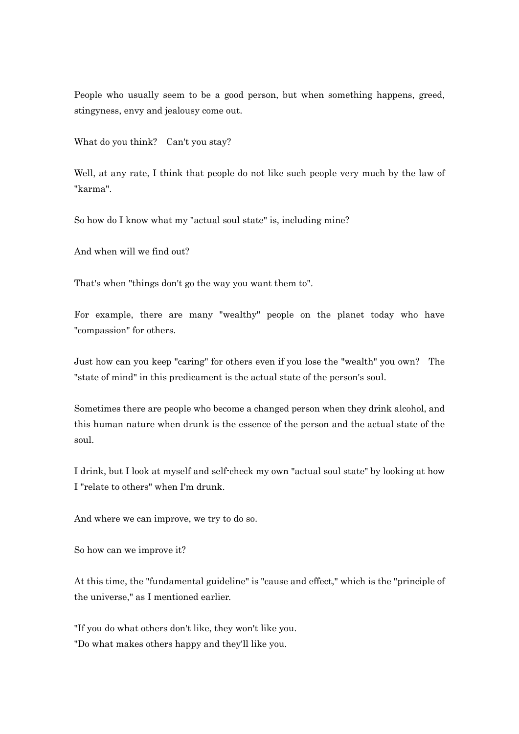People who usually seem to be a good person, but when something happens, greed, stingyness, envy and jealousy come out.

What do you think? Can't you stay?

Well, at any rate, I think that people do not like such people very much by the law of "karma".

So how do I know what my "actual soul state" is, including mine?

And when will we find out?

That's when "things don't go the way you want them to".

For example, there are many "wealthy" people on the planet today who have "compassion" for others.

Just how can you keep "caring" for others even if you lose the "wealth" you own? The "state of mind" in this predicament is the actual state of the person's soul.

Sometimes there are people who become a changed person when they drink alcohol, and this human nature when drunk is the essence of the person and the actual state of the soul.

I drink, but I look at myself and self-check my own "actual soul state" by looking at how I "relate to others" when I'm drunk.

And where we can improve, we try to do so.

So how can we improve it?

At this time, the "fundamental guideline" is "cause and effect," which is the "principle of the universe," as I mentioned earlier.

"If you do what others don't like, they won't like you. "Do what makes others happy and they'll like you.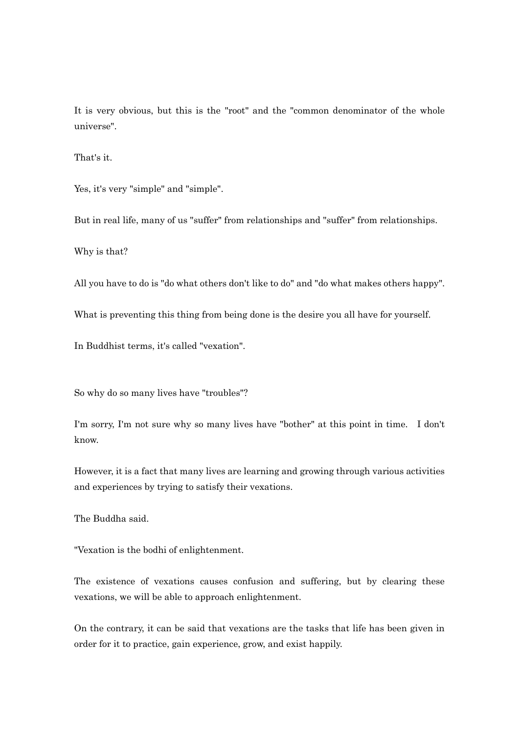It is very obvious, but this is the "root" and the "common denominator of the whole universe".

That's it.

Yes, it's very "simple" and "simple".

But in real life, many of us "suffer" from relationships and "suffer" from relationships.

Why is that?

All you have to do is "do what others don't like to do" and "do what makes others happy".

What is preventing this thing from being done is the desire you all have for yourself.

In Buddhist terms, it's called "vexation".

So why do so many lives have "troubles"?

I'm sorry, I'm not sure why so many lives have "bother" at this point in time. I don't know.

However, it is a fact that many lives are learning and growing through various activities and experiences by trying to satisfy their vexations.

The Buddha said.

"Vexation is the bodhi of enlightenment.

The existence of vexations causes confusion and suffering, but by clearing these vexations, we will be able to approach enlightenment.

On the contrary, it can be said that vexations are the tasks that life has been given in order for it to practice, gain experience, grow, and exist happily.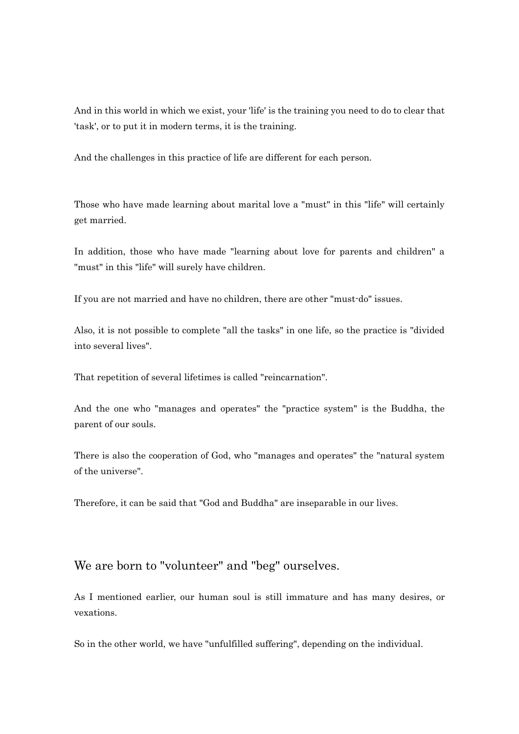And in this world in which we exist, your 'life' is the training you need to do to clear that 'task', or to put it in modern terms, it is the training.

And the challenges in this practice of life are different for each person.

Those who have made learning about marital love a "must" in this "life" will certainly get married.

In addition, those who have made "learning about love for parents and children" a "must" in this "life" will surely have children.

If you are not married and have no children, there are other "must-do" issues.

Also, it is not possible to complete "all the tasks" in one life, so the practice is "divided into several lives".

That repetition of several lifetimes is called "reincarnation".

And the one who "manages and operates" the "practice system" is the Buddha, the parent of our souls.

There is also the cooperation of God, who "manages and operates" the "natural system of the universe".

Therefore, it can be said that "God and Buddha" are inseparable in our lives.

### We are born to "volunteer" and "beg" ourselves.

As I mentioned earlier, our human soul is still immature and has many desires, or vexations.

So in the other world, we have "unfulfilled suffering", depending on the individual.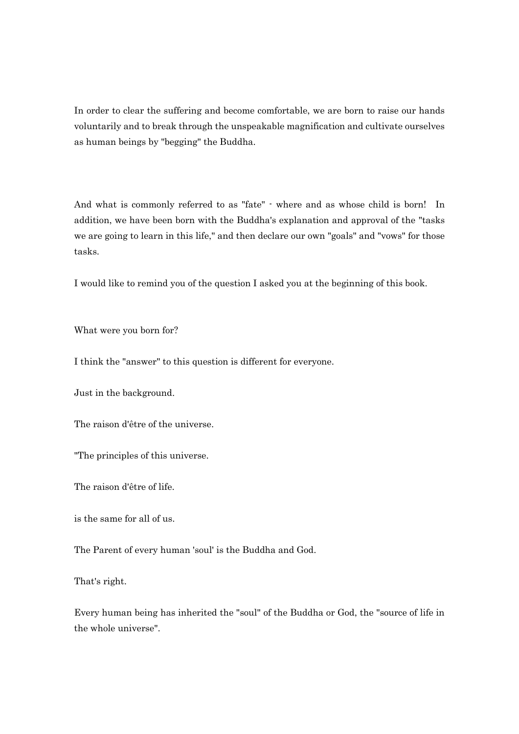In order to clear the suffering and become comfortable, we are born to raise our hands voluntarily and to break through the unspeakable magnification and cultivate ourselves as human beings by "begging" the Buddha.

And what is commonly referred to as "fate" - where and as whose child is born! In addition, we have been born with the Buddha's explanation and approval of the "tasks we are going to learn in this life," and then declare our own "goals" and "vows" for those tasks.

I would like to remind you of the question I asked you at the beginning of this book.

What were you born for?

I think the "answer" to this question is different for everyone.

Just in the background.

The raison d'être of the universe.

"The principles of this universe.

The raison d'être of life.

is the same for all of us.

The Parent of every human 'soul' is the Buddha and God.

That's right.

Every human being has inherited the "soul" of the Buddha or God, the "source of life in the whole universe".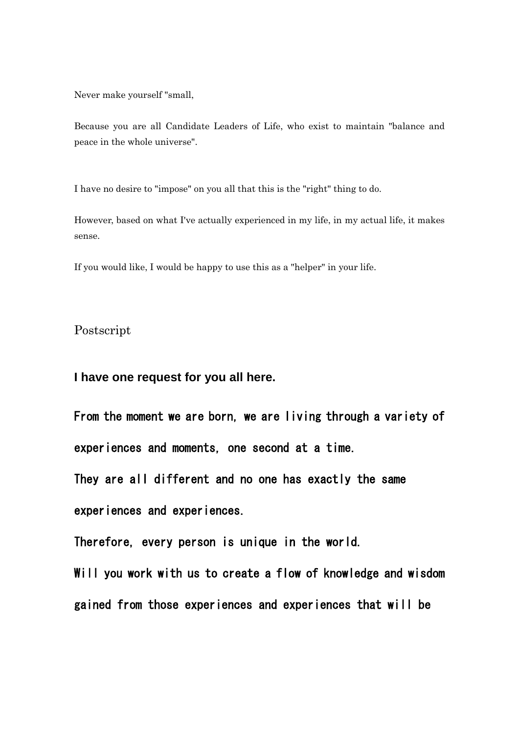Never make yourself "small,

Because you are all Candidate Leaders of Life, who exist to maintain "balance and peace in the whole universe".

I have no desire to "impose" on you all that this is the "right" thing to do.

However, based on what I've actually experienced in my life, in my actual life, it makes sense.

If you would like, I would be happy to use this as a "helper" in your life.

Postscript

**I have one request for you all here.**

From the moment we are born, we are living through a variety of experiences and moments, one second at a time. They are all different and no one has exactly the same

experiences and experiences.

Therefore, every person is unique in the world.

Will you work with us to create a flow of knowledge and wisdom gained from those experiences and experiences that will be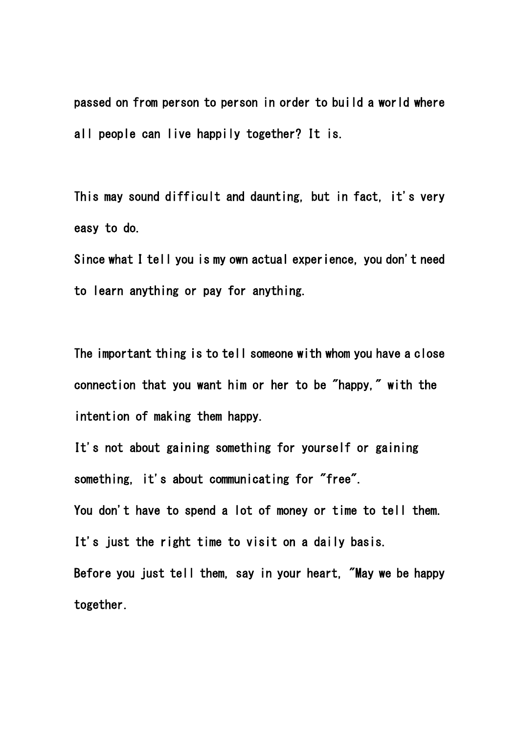passed on from person to person in order to build a world where all people can live happily together? It is.

This may sound difficult and daunting, but in fact, it's very easy to do.

Since what I tell you is my own actual experience, you don't need to learn anything or pay for anything.

The important thing is to tell someone with whom you have a close connection that you want him or her to be "happy," with the intention of making them happy.

It's not about gaining something for yourself or gaining something, it's about communicating for "free". You don't have to spend a lot of money or time to tell them. It's just the right time to visit on a daily basis. Before you just tell them, say in your heart, "May we be happy together.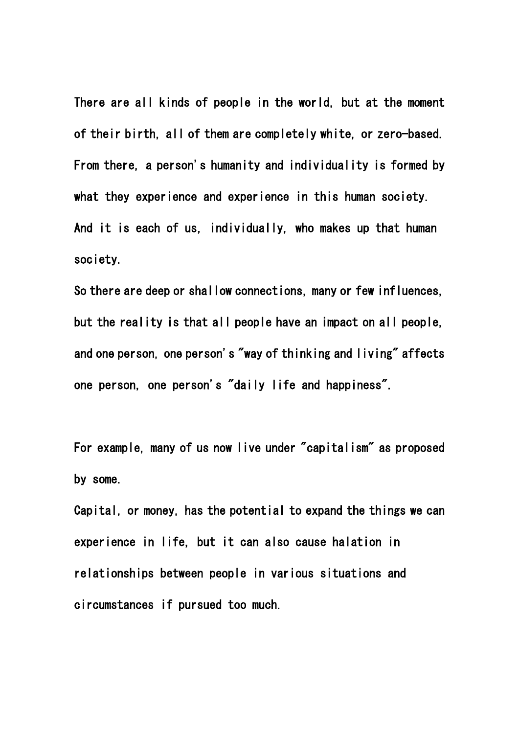There are all kinds of people in the world, but at the moment of their birth, all of them are completely white, or zero-based. From there, a person's humanity and individuality is formed by what they experience and experience in this human society. And it is each of us, individually, who makes up that human society.

So there are deep or shallow connections, many or few influences, but the reality is that all people have an impact on all people, and one person, one person's "way of thinking and living" affects one person, one person's "daily life and happiness".

For example, many of us now live under "capitalism" as proposed by some.

Capital, or money, has the potential to expand the things we can experience in life, but it can also cause halation in relationships between people in various situations and circumstances if pursued too much.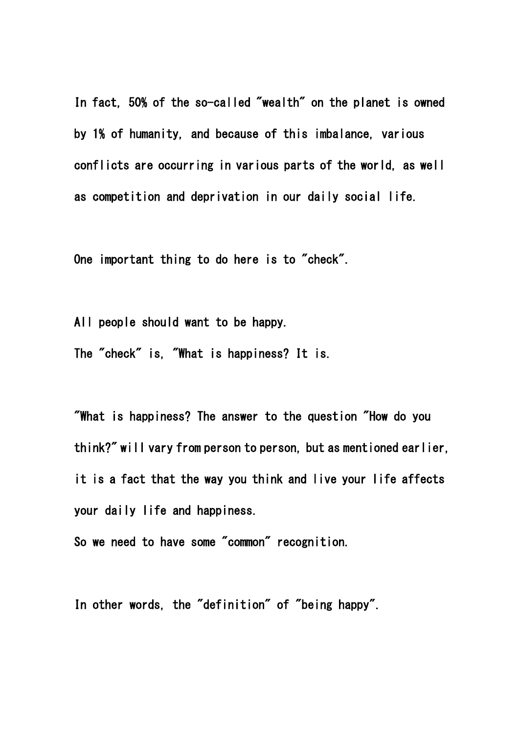In fact, 50% of the so-called "wealth" on the planet is owned by 1% of humanity, and because of this imbalance, various conflicts are occurring in various parts of the world, as well as competition and deprivation in our daily social life.

One important thing to do here is to "check".

All people should want to be happy.

The "check" is, "What is happiness? It is.

"What is happiness? The answer to the question "How do you think?" will vary from person to person, but as mentioned earlier, it is a fact that the way you think and live your life affects your daily life and happiness.

So we need to have some "common" recognition.

In other words, the "definition" of "being happy".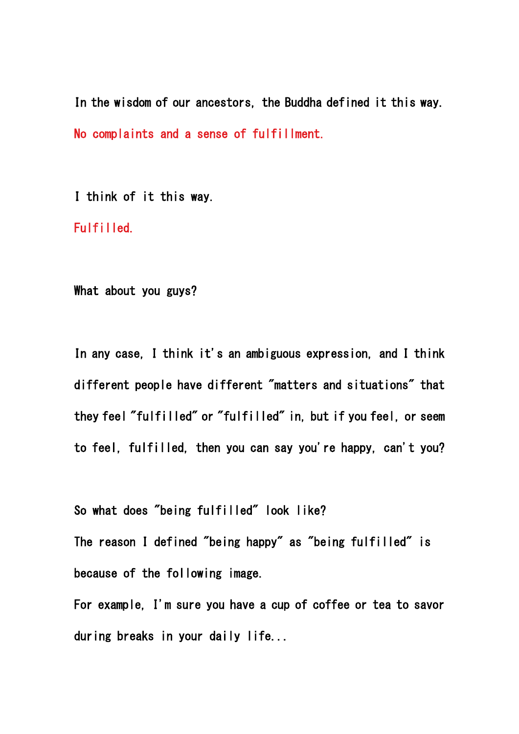In the wisdom of our ancestors, the Buddha defined it this way. No complaints and a sense of fulfillment.

I think of it this way.

Fulfilled.

What about you guys?

In any case, I think it's an ambiguous expression, and I think different people have different "matters and situations" that they feel "fulfilled" or "fulfilled" in, but if you feel, or seem to feel, fulfilled, then you can say you're happy, can't you?

So what does "being fulfilled" look like? The reason I defined "being happy" as "being fulfilled" is because of the following image.

For example, I'm sure you have a cup of coffee or tea to savor during breaks in your daily life...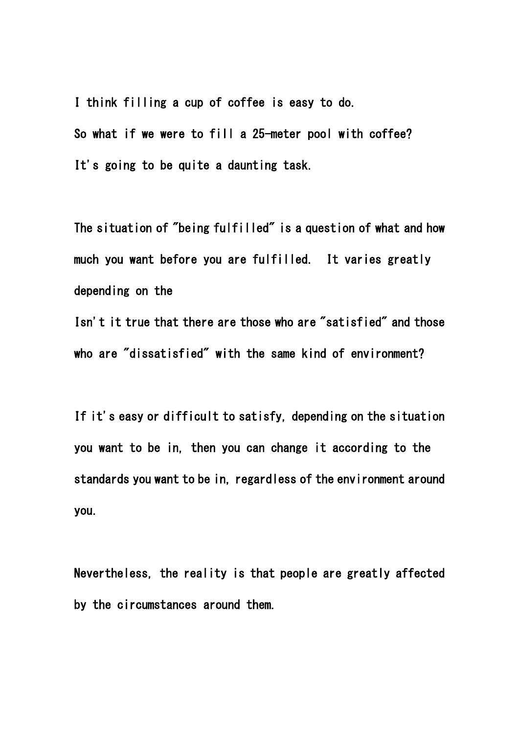I think filling a cup of coffee is easy to do. So what if we were to fill a 25-meter pool with coffee? It's going to be quite a daunting task.

The situation of "being fulfilled" is a question of what and how much you want before you are fulfilled. It varies greatly depending on the

Isn't it true that there are those who are "satisfied" and those who are "dissatisfied" with the same kind of environment?

If it's easy or difficult to satisfy, depending on the situation you want to be in, then you can change it according to the standards you want to be in, regardless of the environment around you.

Nevertheless, the reality is that people are greatly affected by the circumstances around them.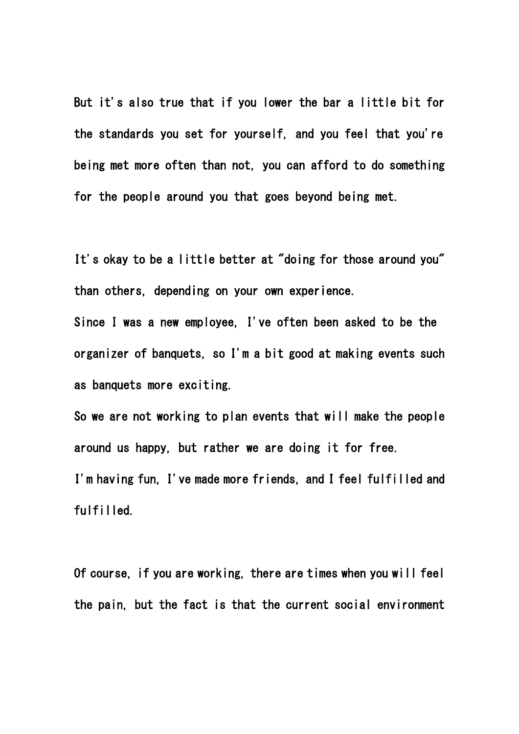But it's also true that if you lower the bar a little bit for the standards you set for yourself, and you feel that you're being met more often than not, you can afford to do something for the people around you that goes beyond being met.

It's okay to be a little better at "doing for those around you" than others, depending on your own experience.

Since I was a new employee, I've often been asked to be the organizer of banquets, so I'm a bit good at making events such as banquets more exciting.

So we are not working to plan events that will make the people around us happy, but rather we are doing it for free. I'm having fun, I've made more friends, and I feel fulfilled and fulfilled.

Of course, if you are working, there are times when you will feel the pain, but the fact is that the current social environment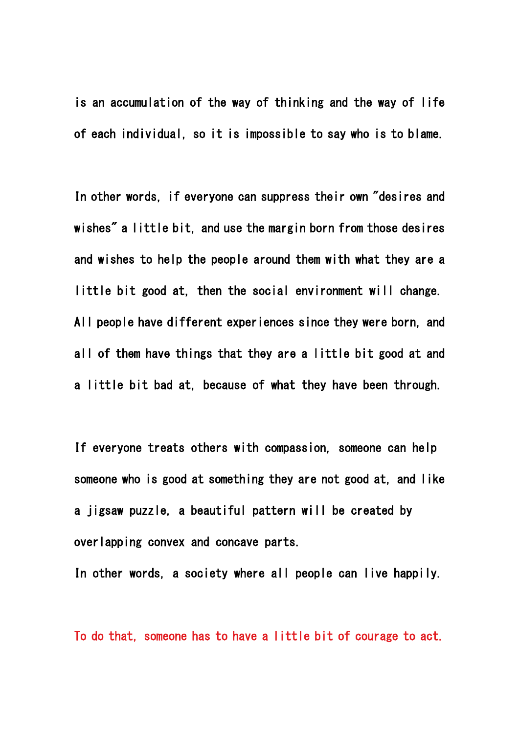is an accumulation of the way of thinking and the way of life of each individual, so it is impossible to say who is to blame.

In other words, if everyone can suppress their own "desires and wishes" a little bit, and use the margin born from those desires and wishes to help the people around them with what they are a little bit good at, then the social environment will change. All people have different experiences since they were born, and all of them have things that they are a little bit good at and a little bit bad at, because of what they have been through.

If everyone treats others with compassion, someone can help someone who is good at something they are not good at, and like a jigsaw puzzle, a beautiful pattern will be created by overlapping convex and concave parts.

In other words, a society where all people can live happily.

To do that, someone has to have a little bit of courage to act.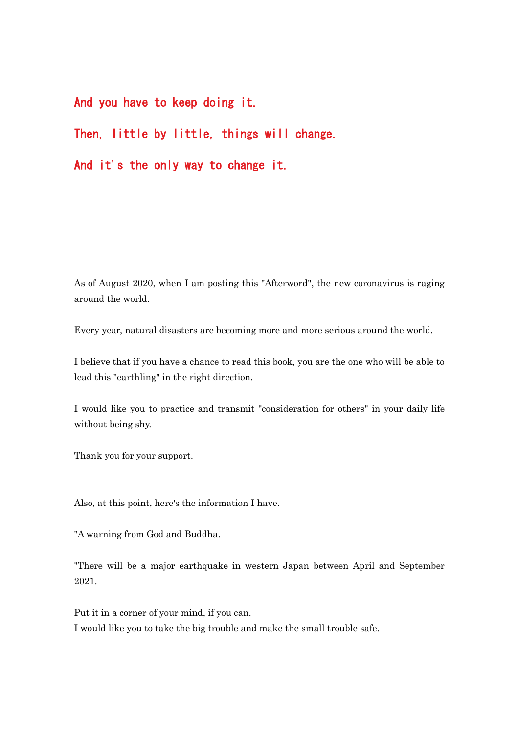And you have to keep doing it.

# Then, little by little, things will change.

And it's the only way to change it.

As of August 2020, when I am posting this "Afterword", the new coronavirus is raging around the world.

Every year, natural disasters are becoming more and more serious around the world.

I believe that if you have a chance to read this book, you are the one who will be able to lead this "earthling" in the right direction.

I would like you to practice and transmit "consideration for others" in your daily life without being shy.

Thank you for your support.

Also, at this point, here's the information I have.

"A warning from God and Buddha.

"There will be a major earthquake in western Japan between April and September 2021.

Put it in a corner of your mind, if you can. I would like you to take the big trouble and make the small trouble safe.